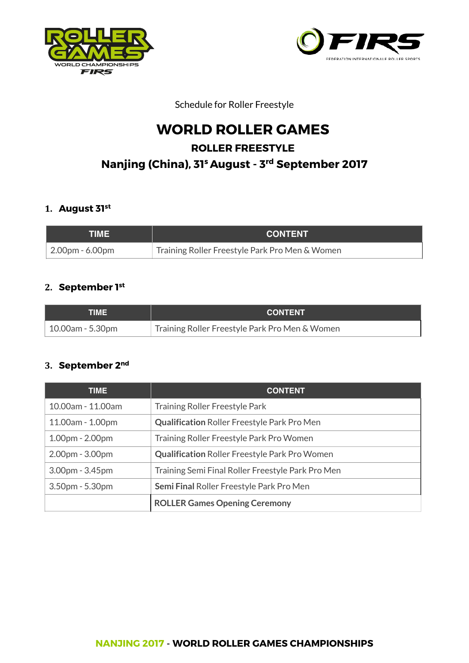



Schedule for Roller Freestyle

# **WORLD ROLLER GAMES ROLLER FREESTYLE Nanjing (China), 31s August - 3rd September 2017**

#### **1. August 31st**

| TIMEI                   | <b>CONTENT</b>                                 |
|-------------------------|------------------------------------------------|
| $\vert$ 2.00pm - 6.00pm | Training Roller Freestyle Park Pro Men & Women |

## **2. September 1st**

| TIME I              | <b>CONTENT</b>                                 |
|---------------------|------------------------------------------------|
| $10.00$ am - 5.30pm | Training Roller Freestyle Park Pro Men & Women |

#### **3. September 2nd**

| <b>TIME</b>       | <b>CONTENT</b>                                       |
|-------------------|------------------------------------------------------|
| 10.00am - 11.00am | <b>Training Roller Freestyle Park</b>                |
| 11.00am - 1.00pm  | <b>Qualification Roller Freestyle Park Pro Men</b>   |
| $1.00pm - 2.00pm$ | Training Roller Freestyle Park Pro Women             |
| 2.00pm - 3.00pm   | <b>Qualification Roller Freestyle Park Pro Women</b> |
| $3.00pm - 3.45pm$ | Training Semi Final Roller Freestyle Park Pro Men    |
| 3.50pm - 5.30pm   | <b>Semi Final Roller Freestyle Park Pro Men</b>      |
|                   | <b>ROLLER Games Opening Ceremony</b>                 |